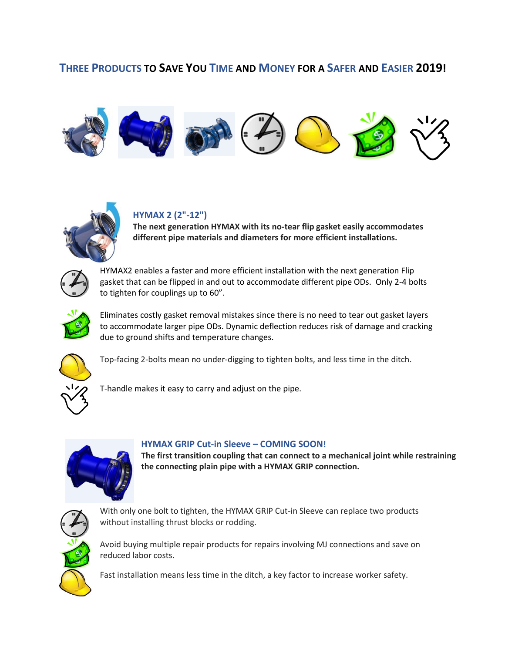## **THREE PRODUCTS TO SAVE YOU TIME AND MONEY FOR A SAFER AND EASIER 2019!**





## **HYMAX 2 (2"-12")**

**The next generation HYMAX with its no-tear flip gasket easily accommodates different pipe materials and diameters for more efficient installations.**



HYMAX2 enables a faster and more efficient installation with the next generation Flip gasket that can be flipped in and out to accommodate different pipe ODs. Only 2-4 bolts to tighten for couplings up to 60".



Eliminates costly gasket removal mistakes since there is no need to tear out gasket layers to accommodate larger pipe ODs. Dynamic deflection reduces risk of damage and cracking due to ground shifts and temperature changes.



Top-facing 2-bolts mean no under-digging to tighten bolts, and less time in the ditch.

T-handle makes it easy to carry and adjust on the pipe.



## **HYMAX GRIP Cut-in Sleeve – COMING SOON!**

**The first transition coupling that can connect to a mechanical joint while restraining the connecting plain pipe with a HYMAX GRIP connection.** 



With only one bolt to tighten, the HYMAX GRIP Cut-in Sleeve can replace two products without installing thrust blocks or rodding.

Avoid buying multiple repair products for repairs involving MJ connections and save on reduced labor costs.

Fast installation means less time in the ditch, a key factor to increase worker safety.